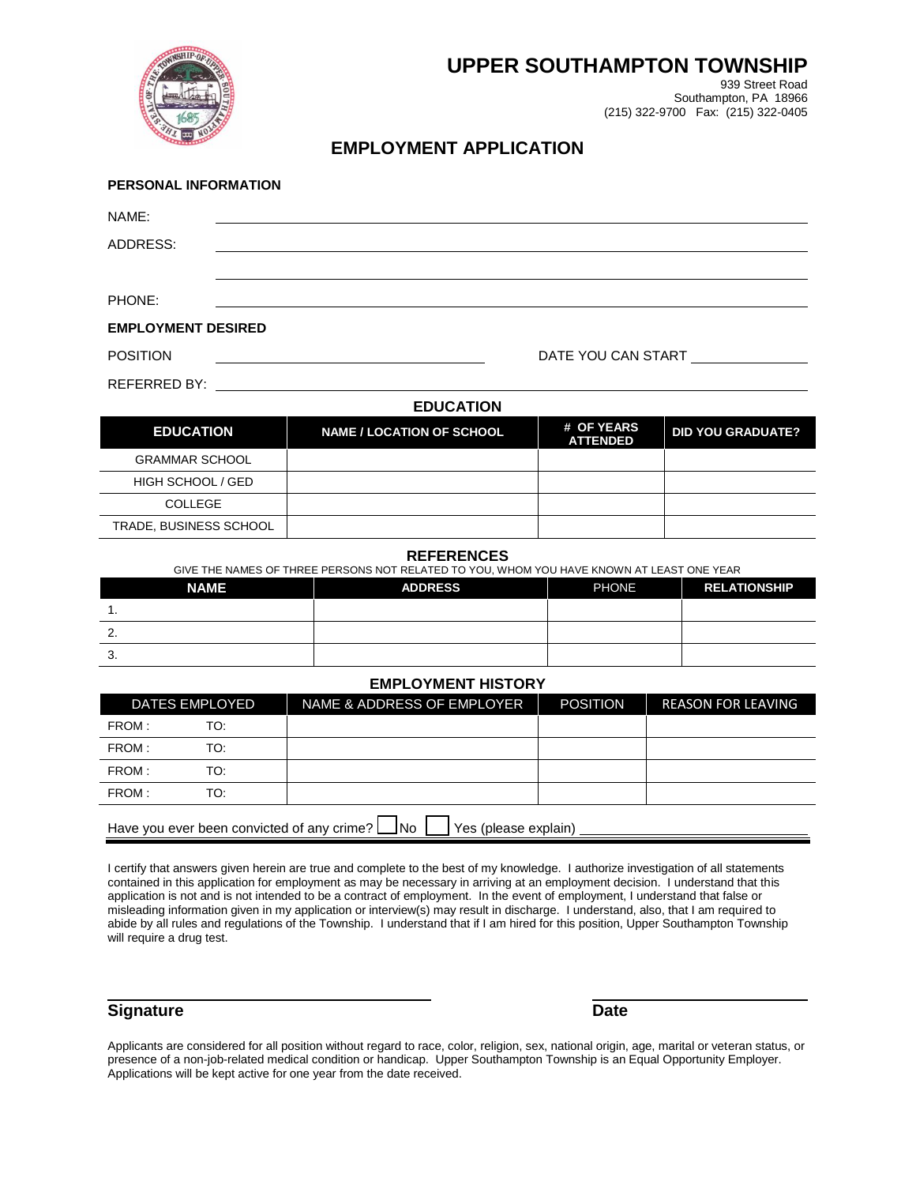

# **UPPER SOUTHAMPTON TOWNSHIP**

939 Street Road Southampton, PA 18966 (215) 322-9700 Fax: (215) 322-0405

## **EMPLOYMENT APPLICATION**

| PERSONAL INFORMATION      |  |                  |                                                     |  |
|---------------------------|--|------------------|-----------------------------------------------------|--|
| NAME:                     |  |                  |                                                     |  |
| ADDRESS:                  |  |                  |                                                     |  |
|                           |  |                  |                                                     |  |
| PHONE:                    |  |                  |                                                     |  |
| <b>EMPLOYMENT DESIRED</b> |  |                  |                                                     |  |
| <b>POSITION</b>           |  |                  | DATE YOU CAN START                                  |  |
|                           |  |                  |                                                     |  |
|                           |  | <b>EDUCATION</b> |                                                     |  |
|                           |  |                  | $\mathbf{u}$ $\mathbf{v}$ $\mathbf{v}$ $\mathbf{v}$ |  |

### **EDUCATION NAME / LOCATION OF SCHOOL # OF YEARS ATTENDED DID YOU GRADUATE?** GRAMMAR SCHOOL HIGH SCHOOL / GED COLLEGE TRADE, BUSINESS SCHOOL

#### **REFERENCES**

|             | GIVE THE NAMES OF THREE PERSONS NOT RELATED TO YOU, WHOM YOU HAVE KNOWN AT LEAST ONE YEAR |              |                     |  |  |
|-------------|-------------------------------------------------------------------------------------------|--------------|---------------------|--|--|
| <b>NAME</b> | <b>ADDRESS</b>                                                                            | <b>PHONE</b> | <b>RELATIONSHIP</b> |  |  |
|             |                                                                                           |              |                     |  |  |
|             |                                                                                           |              |                     |  |  |

#### **EMPLOYMENT HISTORY**

|                                                                                     | <b>DATES EMPLOYED</b> | NAME & ADDRESS OF EMPLOYER | <b>POSITION</b> | <b>REASON FOR LEAVING</b> |
|-------------------------------------------------------------------------------------|-----------------------|----------------------------|-----------------|---------------------------|
| FROM:                                                                               | TO:                   |                            |                 |                           |
| FROM:                                                                               | TO:                   |                            |                 |                           |
| FROM:                                                                               | TO:                   |                            |                 |                           |
| FROM:                                                                               | TO:                   |                            |                 |                           |
| Have you ever been convicted of any crime? $\Box$ No $\Box$<br>Yes (please explain) |                       |                            |                 |                           |

I certify that answers given herein are true and complete to the best of my knowledge. I authorize investigation of all statements contained in this application for employment as may be necessary in arriving at an employment decision. I understand that this application is not and is not intended to be a contract of employment. In the event of employment, I understand that false or misleading information given in my application or interview(s) may result in discharge. I understand, also, that I am required to abide by all rules and regulations of the Township. I understand that if I am hired for this position, Upper Southampton Township will require a drug test.

## **Signature Date** Date **Date**

3.

Applicants are considered for all position without regard to race, color, religion, sex, national origin, age, marital or veteran status, or presence of a non-job-related medical condition or handicap. Upper Southampton Township is an Equal Opportunity Employer. Applications will be kept active for one year from the date received.